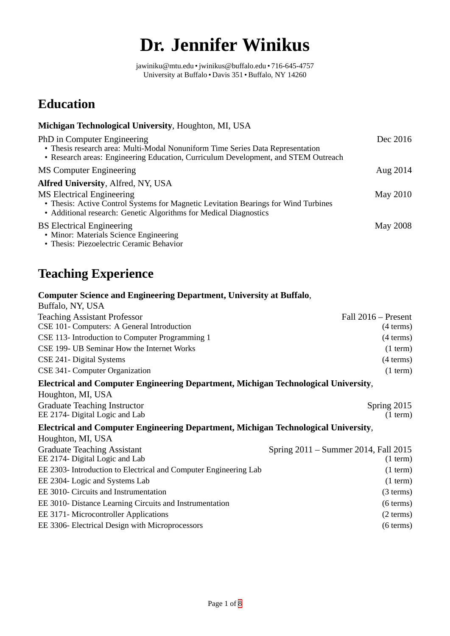# **Dr. Jennifer Winikus**

jawiniku@mtu.edu •jwinikus@buffalo.edu • 716-645-4757 University at Buffalo • Davis 351 • Buffalo, NY 14260

### **Education**

| Michigan Technological University, Houghton, MI, USA                                                                                                                                                |          |
|-----------------------------------------------------------------------------------------------------------------------------------------------------------------------------------------------------|----------|
| PhD in Computer Engineering<br>• Thesis research area: Multi-Modal Nonuniform Time Series Data Representation<br>• Research areas: Engineering Education, Curriculum Development, and STEM Outreach | Dec 2016 |
| MS Computer Engineering                                                                                                                                                                             | Aug 2014 |
| <b>Alfred University, Alfred, NY, USA</b>                                                                                                                                                           |          |
| <b>MS Electrical Engineering</b><br>• Thesis: Active Control Systems for Magnetic Levitation Bearings for Wind Turbines<br>• Additional research: Genetic Algorithms for Medical Diagnostics        | May 2010 |
| <b>BS Electrical Engineering</b><br>• Minor: Materials Science Engineering<br>• Thesis: Piezoelectric Ceramic Behavior                                                                              | May 2008 |

### **Teaching Experience**

#### **Computer Science and Engineering Department, University at Buffalo**,

| Buffalo, NY, USA                                                                   |                                      |  |
|------------------------------------------------------------------------------------|--------------------------------------|--|
| <b>Teaching Assistant Professor</b>                                                | Fall 2016 – Present                  |  |
| CSE 101- Computers: A General Introduction                                         | $(4 \text{ terms})$                  |  |
| CSE 113- Introduction to Computer Programming 1                                    | $(4 \text{ terms})$                  |  |
| CSE 199- UB Seminar How the Internet Works                                         | $(1$ term $)$                        |  |
| CSE 241- Digital Systems                                                           | $(4 \text{ terms})$                  |  |
| CSE 341- Computer Organization                                                     | $(1$ term $)$                        |  |
| Electrical and Computer Engineering Department, Michigan Technological University, |                                      |  |
| Houghton, MI, USA                                                                  |                                      |  |
| <b>Graduate Teaching Instructor</b>                                                | Spring 2015                          |  |
| EE 2174- Digital Logic and Lab                                                     | $(1$ term $)$                        |  |
| Electrical and Computer Engineering Department, Michigan Technological University, |                                      |  |
| Houghton, MI, USA                                                                  |                                      |  |
| <b>Graduate Teaching Assistant</b>                                                 | Spring 2011 – Summer 2014, Fall 2015 |  |
| EE 2174- Digital Logic and Lab                                                     | $(1$ term $)$                        |  |
| EE 2303- Introduction to Electrical and Computer Engineering Lab                   | $(1$ term $)$                        |  |
| EE 2304- Logic and Systems Lab                                                     | $(1$ term $)$                        |  |
| EE 3010- Circuits and Instrumentation                                              | $(3 \text{ terms})$                  |  |
| EE 3010- Distance Learning Circuits and Instrumentation                            | $(6 \text{ terms})$                  |  |
| EE 3171- Microcontroller Applications                                              | (2 terms)                            |  |
| EE 3306- Electrical Design with Microprocessors                                    | $(6 \text{ terms})$                  |  |
|                                                                                    |                                      |  |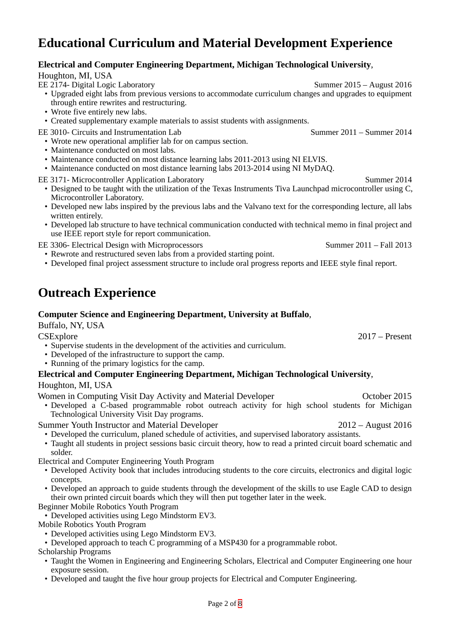### **Educational Curriculum and Material Development Experience**

#### **Electrical and Computer Engineering Department, Michigan Technological University**,

#### Houghton, MI, USA

- EE 2174- Digital Logic Laboratory Summer 2015 August 2016
	- Upgraded eight labs from previous versions to accommodate curriculum changes and upgrades to equipment through entire rewrites and restructuring.
	- Wrote five entirely new labs.
	- Created supplementary example materials to assist students with assignments.

EE 3010- Circuits and Instrumentation Lab Summer 2011 – Summer 2014

- Wrote new operational amplifier lab for on campus section.
- Maintenance conducted on most labs.
- Maintenance conducted on most distance learning labs 2011-2013 using NI ELVIS.
- Maintenance conducted on most distance learning labs 2013-2014 using NI MyDAQ.
- EE 3171- Microcontroller Application Laboratory New York Summer 2014
	- Designed to be taught with the utilization of the Texas Instruments Tiva Launchpad microcontroller using C, Microcontroller Laboratory.
	- Developed new labs inspired by the previous labs and the Valvano text for the corresponding lecture, all labs written entirely.
	- Developed lab structure to have technical communication conducted with technical memo in final project and use IEEE report style for report communication.
- EE 3306- Electrical Design with Microprocessors Summer 2011 Fall 2013
	- Rewrote and restructured seven labs from a provided starting point.
	- Developed final project assessment structure to include oral progress reports and IEEE style final report.

## **Outreach Experience**

#### **Computer Science and Engineering Department, University at Buffalo**,

Buffalo, NY, USA

CSExplore 2017 – Present

- Supervise students in the development of the activities and curriculum.
- Developed of the infrastructure to support the camp.
- Running of the primary logistics for the camp.
- **Electrical and Computer Engineering Department, Michigan Technological University**, Houghton, MI, USA

Women in Computing Visit Day Activity and Material Developer **Computing Visit Day Activity and Material Developer** 

• Developed a C-based programmable robot outreach activity for high school students for Michigan Technological University Visit Day programs.

Summer Youth Instructor and Material Developer 2012 – August 2016

- Developed the curriculum, planed schedule of activities, and supervised laboratory assistants.
- Taught all students in project sessions basic circuit theory, how to read a printed circuit board schematic and solder.

Electrical and Computer Engineering Youth Program

- Developed Activity book that includes introducing students to the core circuits, electronics and digital logic concepts.
- Developed an approach to guide students through the development of the skills to use Eagle CAD to design their own printed circuit boards which they will then put together later in the week.

Beginner Mobile Robotics Youth Program

• Developed activities using Lego Mindstorm EV3.

- Mobile Robotics Youth Program
	- Developed activities using Lego Mindstorm EV3.
	- Developed approach to teach C programming of a MSP430 for a programmable robot.

Scholarship Programs

- Taught the Women in Engineering and Engineering Scholars, Electrical and Computer Engineering one hour exposure session.
- Developed and taught the five hour group projects for Electrical and Computer Engineering.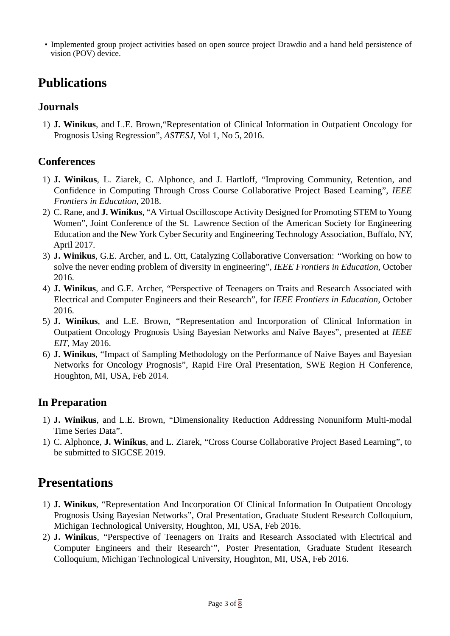• Implemented group project activities based on open source project Drawdio and a hand held persistence of vision (POV) device.

### **Publications**

#### **Journals**

1) **J. Winikus**, and L.E. Brown,"Representation of Clinical Information in Outpatient Oncology for Prognosis Using Regression", *ASTESJ*, Vol 1, No 5, 2016.

#### **Conferences**

- 1) **J. Winikus**, L. Ziarek, C. Alphonce, and J. Hartloff, "Improving Community, Retention, and Confidence in Computing Through Cross Course Collaborative Project Based Learning", *IEEE Frontiers in Education*, 2018.
- 2) C. Rane, and **J. Winikus**, "A Virtual Oscilloscope Activity Designed for Promoting STEM to Young Women", Joint Conference of the St. Lawrence Section of the American Society for Engineering Education and the New York Cyber Security and Engineering Technology Association, Buffalo, NY, April 2017.
- 3) **J. Winikus**, G.E. Archer, and L. Ott, Catalyzing Collaborative Conversation: "Working on how to solve the never ending problem of diversity in engineering", *IEEE Frontiers in Education*, October 2016.
- 4) **J. Winikus**, and G.E. Archer, "Perspective of Teenagers on Traits and Research Associated with Electrical and Computer Engineers and their Research", for *IEEE Frontiers in Education*, October 2016.
- 5) **J. Winikus**, and L.E. Brown, "Representation and Incorporation of Clinical Information in Outpatient Oncology Prognosis Using Bayesian Networks and Naïve Bayes", presented at *IEEE EIT*, May 2016.
- 6) **J. Winikus**, "Impact of Sampling Methodology on the Performance of Naive Bayes and Bayesian Networks for Oncology Prognosis", Rapid Fire Oral Presentation, SWE Region H Conference, Houghton, MI, USA, Feb 2014.

#### **In Preparation**

- 1) **J. Winikus**, and L.E. Brown, "Dimensionality Reduction Addressing Nonuniform Multi-modal Time Series Data".
- 1) C. Alphonce, **J. Winikus**, and L. Ziarek, "Cross Course Collaborative Project Based Learning", to be submitted to SIGCSE 2019.

### **Presentations**

- 1) **J. Winikus**, "Representation And Incorporation Of Clinical Information In Outpatient Oncology Prognosis Using Bayesian Networks", Oral Presentation, Graduate Student Research Colloquium, Michigan Technological University, Houghton, MI, USA, Feb 2016.
- 2) **J. Winikus**, "Perspective of Teenagers on Traits and Research Associated with Electrical and Computer Engineers and their Research'", Poster Presentation, Graduate Student Research Colloquium, Michigan Technological University, Houghton, MI, USA, Feb 2016.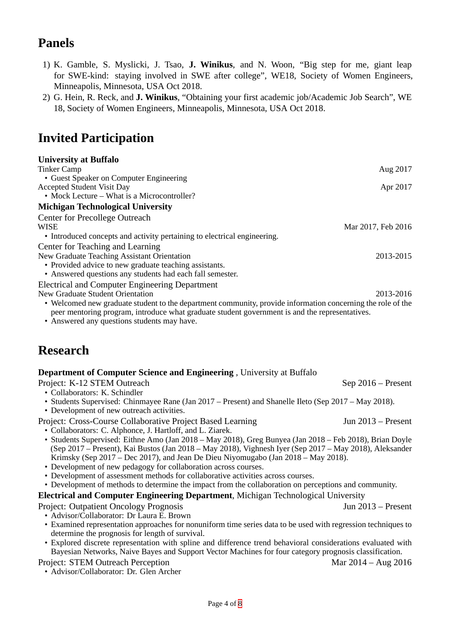### **Panels**

- 1) K. Gamble, S. Myslicki, J. Tsao, **J. Winikus**, and N. Woon, "Big step for me, giant leap for SWE-kind: staying involved in SWE after college", WE18, Society of Women Engineers, Minneapolis, Minnesota, USA Oct 2018.
- 2) G. Hein, R. Reck, and **J. Winikus**, "Obtaining your first academic job/Academic Job Search", WE 18, Society of Women Engineers, Minneapolis, Minnesota, USA Oct 2018.

### **Invited Participation**

| <b>University at Buffalo</b>                                             |                    |
|--------------------------------------------------------------------------|--------------------|
| <b>Tinker Camp</b>                                                       | Aug 2017           |
| • Guest Speaker on Computer Engineering                                  |                    |
| <b>Accepted Student Visit Day</b>                                        | Apr 2017           |
| • Mock Lecture – What is a Microcontroller?                              |                    |
| <b>Michigan Technological University</b>                                 |                    |
| <b>Center for Precollege Outreach</b>                                    |                    |
| <b>WISE</b>                                                              | Mar 2017, Feb 2016 |
| • Introduced concepts and activity pertaining to electrical engineering. |                    |
| Center for Teaching and Learning                                         |                    |
| New Graduate Teaching Assistant Orientation                              | 2013-2015          |
| • Provided advice to new graduate teaching assistants.                   |                    |
| • Answered questions any students had each fall semester.                |                    |
| <b>Electrical and Computer Engineering Department</b>                    |                    |
| New Graduate Student Orientation                                         | 2013-2016          |

• Welcomed new graduate student to the department community, provide information concerning the role of the peer mentoring program, introduce what graduate student government is and the representatives.

• Answered any questions students may have.

### **Research**

#### **Department of Computer Science and Engineering** , University at Buffalo

Project: K-12 STEM Outreach Sep 2016 – Present

- Collaborators: K. Schindler
- Students Supervised: Chinmayee Rane (Jan 2017 Present) and Shanelle Ileto (Sep 2017 May 2018).
- Development of new outreach activities.
- Project: Cross-Course Collaborative Project Based Learning Jun 2013 Present
- Collaborators: C. Alphonce, J. Hartloff, and L. Ziarek.
- Students Supervised: Eithne Amo (Jan 2018 May 2018), Greg Bunyea (Jan 2018 Feb 2018), Brian Doyle (Sep 2017 – Present), Kai Bustos (Jan 2018 – May 2018), Vighnesh Iyer (Sep 2017 – May 2018), Aleksander Krimsky (Sep 2017 – Dec 2017), and Jean De Dieu Niyomugabo (Jan 2018 – May 2018).
- Development of new pedagogy for collaboration across courses.
- Development of assessment methods for collaborative activities across courses.
- Development of methods to determine the impact from the collaboration on perceptions and community.

**Electrical and Computer Engineering Department**, Michigan Technological University

Project: Outpatient Oncology Prognosis Jun 2013 – Present

- Advisor/Collaborator: Dr Laura E. Brown
- Examined representation approaches for nonuniform time series data to be used with regression techniques to determine the prognosis for length of survival.
- Explored discrete representation with spline and difference trend behavioral considerations evaluated with Bayesian Networks, Naive Bayes and Support Vector Machines for four category prognosis classification.

#### Project: STEM Outreach Perception Mar 2014 – Aug 2016

• Advisor/Collaborator: Dr. Glen Archer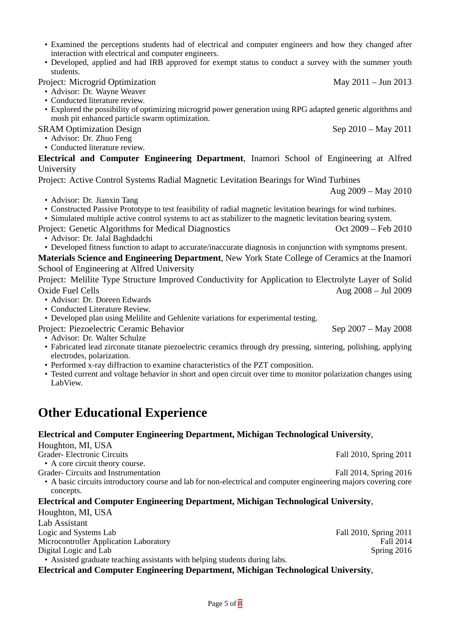- Examined the perceptions students had of electrical and computer engineers and how they changed after interaction with electrical and computer engineers.
- Developed, applied and had IRB approved for exempt status to conduct a survey with the summer youth students.

Project: Microgrid Optimization May 2011 – Jun 2013

- Advisor: Dr. Wayne Weaver
- Conducted literature review.
- Explored the possibility of optimizing microgrid power generation using RPG adapted genetic algorithms and mosh pit enhanced particle swarm optimization.

SRAM Optimization Design Sep 2010 – May 2011

- Advisor: Dr. Zhuo Feng
- Conducted literature review.

**Electrical and Computer Engineering Department**, Inamori School of Engineering at Alfred University

Project: Active Control Systems Radial Magnetic Levitation Bearings for Wind Turbines

- Advisor: Dr. Jianxin Tang
- Constructed Passive Prototype to test feasibility of radial magnetic levitation bearings for wind turbines.

• Simulated multiple active control systems to act as stabilizer to the magnetic levitation bearing system.

Project: Genetic Algorithms for Medical Diagnostics Contract Contract 2009 – Feb 2010

- Advisor: Dr. Jalal Baghdadchi
- Developed fitness function to adapt to accurate/inaccurate diagnosis in conjunction with symptoms present.

**Materials Science and Engineering Department**, New York State College of Ceramics at the Inamori School of Engineering at Alfred University

Project: Melilite Type Structure Improved Conductivity for Application to Electrolyte Layer of Solid Oxide Fuel Cells Aug 2008 – Jul 2009

- Advisor: Dr. Doreen Edwards
- Conducted Literature Review.

• Developed plan using Melilite and Gehlenite variations for experimental testing.

- Project: Piezoelectric Ceramic Behavior Sep 2007 May 2008
	- Advisor: Dr. Walter Schulze
	- Fabricated lead zirconate titanate piezoelectric ceramics through dry pressing, sintering, polishing, applying electrodes, polarization.
	- Performed x-ray diffraction to examine characteristics of the PZT composition.
	- Tested current and voltage behavior in short and open circuit over time to monitor polarization changes using LabView.

### **Other Educational Experience**

#### **Electrical and Computer Engineering Department, Michigan Technological University**,

Houghton, MI, USA

Grader- Electronic Circuits Fall 2010, Spring 2011

• A core circuit theory course.

- Grader- Circuits and Instrumentation Grader- Circuits and Instrumentation Fall 2014, Spring 2016
	- A basic circuits introductory course and lab for non-electrical and computer engineering majors covering core concepts.

#### **Electrical and Computer Engineering Department, Michigan Technological University**,

Houghton, MI, USA Lab Assistant Logic and Systems Lab Fall 2010, Spring 2011<br>Microcontroller Application Laboratory Fall 2014 Microcontroller Application Laboratory Digital Logic and Lab Spring 2016

• Assisted graduate teaching assistants with helping students during labs.

**Electrical and Computer Engineering Department, Michigan Technological University**,

Aug 2009 – May 2010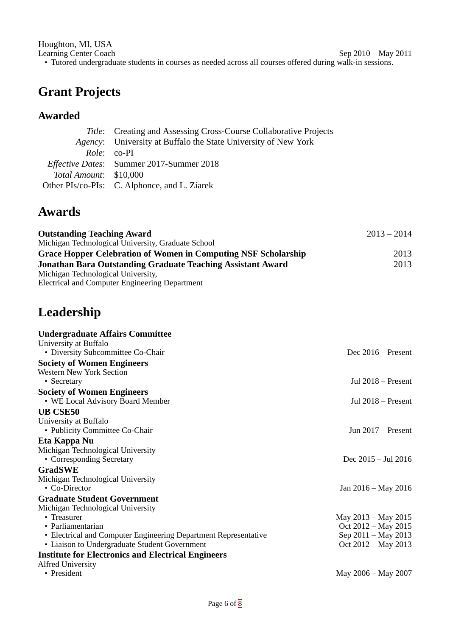Houghton, MI, USA Learning Center Coach Sep 2010 – May 2011 • Tutored undergraduate students in courses as needed across all courses offered during walk-in sessions.

### **Grant Projects**

### **Awarded**

|                        | Title: Creating and Assessing Cross-Course Collaborative Projects |
|------------------------|-------------------------------------------------------------------|
|                        | Agency: University at Buffalo the State University of New York    |
|                        | Role: co-PI                                                       |
|                        | Effective Dates: Summer 2017-Summer 2018                          |
| Total Amount: \$10,000 |                                                                   |
|                        | Other PIs/co-PIs: C. Alphonce, and L. Ziarek                      |

### **Awards**

| <b>Outstanding Teaching Award</b><br>Michigan Technological University, Graduate School | $2013 - 2014$ |      |
|-----------------------------------------------------------------------------------------|---------------|------|
| <b>Grace Hopper Celebration of Women in Computing NSF Scholarship</b>                   |               | 2013 |
| <b>Jonathan Bara Outstanding Graduate Teaching Assistant Award</b>                      |               | 2013 |
| Michigan Technological University,                                                      |               |      |
| <b>Electrical and Computer Engineering Department</b>                                   |               |      |

### **Leadership**

| <b>Undergraduate Affairs Committee</b>                          |                      |
|-----------------------------------------------------------------|----------------------|
| University at Buffalo                                           |                      |
| • Diversity Subcommittee Co-Chair                               | Dec $2016 -$ Present |
| <b>Society of Women Engineers</b>                               |                      |
| <b>Western New York Section</b>                                 |                      |
| • Secretary                                                     | Jul $2018 -$ Present |
| <b>Society of Women Engineers</b>                               |                      |
| • WE Local Advisory Board Member                                | Jul $2018 -$ Present |
| <b>UB CSE50</b>                                                 |                      |
| University at Buffalo                                           |                      |
| • Publicity Committee Co-Chair                                  | Jun $2017$ – Present |
| Eta Kappa Nu                                                    |                      |
| Michigan Technological University                               |                      |
| • Corresponding Secretary                                       | Dec 2015 – Jul 2016  |
| <b>GradSWE</b>                                                  |                      |
| Michigan Technological University                               |                      |
| • Co-Director                                                   | Jan 2016 – May 2016  |
| <b>Graduate Student Government</b>                              |                      |
| Michigan Technological University                               |                      |
| • Treasurer                                                     | May 2013 - May 2015  |
| • Parliamentarian                                               | Oct 2012 - May 2015  |
| • Electrical and Computer Engineering Department Representative | Sep 2011 - May 2013  |
| • Liaison to Undergraduate Student Government                   | Oct 2012 - May 2013  |
| <b>Institute for Electronics and Electrical Engineers</b>       |                      |
| <b>Alfred University</b>                                        |                      |
| • President                                                     | May 2006 – May 2007  |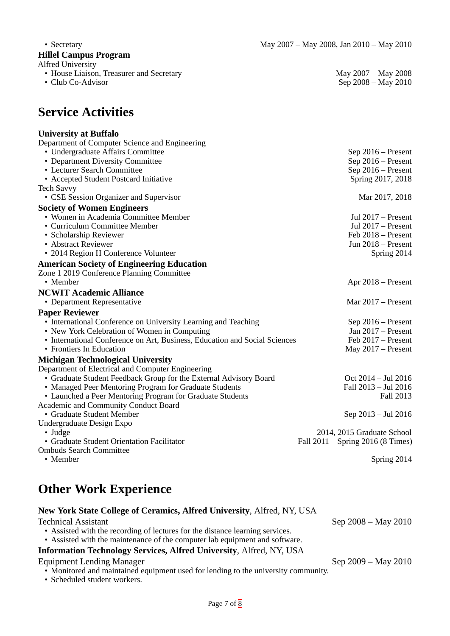$\varepsilon$  Cep 2008 – May 2010

### **Hillel Campus Program**

Alfred University

- House Liaison, Treasurer and Secretary May 2007 May 2008<br>• Club Co-Advisor Sep 2008 May 2010
- 

### **Service Activities**

#### **University at Buffalo**

| Department of Computer Science and Engineering                             |                                   |
|----------------------------------------------------------------------------|-----------------------------------|
| • Undergraduate Affairs Committee                                          | Sep 2016 - Present                |
| • Department Diversity Committee                                           | Sep 2016 - Present                |
| • Lecturer Search Committee                                                | Sep 2016 - Present                |
| • Accepted Student Postcard Initiative                                     | Spring 2017, 2018                 |
| <b>Tech Savvy</b>                                                          |                                   |
| • CSE Session Organizer and Supervisor                                     | Mar 2017, 2018                    |
| <b>Society of Women Engineers</b>                                          |                                   |
| • Women in Academia Committee Member                                       | Jul $2017$ – Present              |
| • Curriculum Committee Member                                              | Jul $2017$ – Present              |
| • Scholarship Reviewer                                                     | Feb 2018 - Present                |
| • Abstract Reviewer                                                        | Jun 2018 - Present                |
| • 2014 Region H Conference Volunteer                                       | Spring 2014                       |
| <b>American Society of Engineering Education</b>                           |                                   |
| Zone 1 2019 Conference Planning Committee                                  |                                   |
| • Member                                                                   | Apr $2018$ – Present              |
| <b>NCWIT Academic Alliance</b>                                             |                                   |
| • Department Representative                                                | Mar $2017 -$ Present              |
| <b>Paper Reviewer</b>                                                      |                                   |
| • International Conference on University Learning and Teaching             | Sep 2016 - Present                |
| • New York Celebration of Women in Computing                               | Jan 2017 - Present                |
| • International Conference on Art, Business, Education and Social Sciences | Feb 2017 – Present                |
| • Frontiers In Education                                                   | May $2017 -$ Present              |
| <b>Michigan Technological University</b>                                   |                                   |
| Department of Electrical and Computer Engineering                          |                                   |
| • Graduate Student Feedback Group for the External Advisory Board          | Oct 2014 - Jul 2016               |
| • Managed Peer Mentoring Program for Graduate Students                     | Fall 2013 - Jul 2016              |
| • Launched a Peer Mentoring Program for Graduate Students                  | <b>Fall 2013</b>                  |
| Academic and Community Conduct Board                                       |                                   |
| • Graduate Student Member                                                  | Sep 2013 – Jul 2016               |
| Undergraduate Design Expo                                                  |                                   |
| • Judge                                                                    | 2014, 2015 Graduate School        |
| • Graduate Student Orientation Facilitator                                 | Fall 2011 – Spring 2016 (8 Times) |
| <b>Ombuds Search Committee</b>                                             |                                   |
| • Member                                                                   | Spring 2014                       |

### **Other Work Experience**

| New York State College of Ceramics, Alfred University, Alfred, NY, USA |                     |
|------------------------------------------------------------------------|---------------------|
| <b>Technical Assistant</b>                                             | Sep 2008 – May 2010 |

• Assisted with the recording of lectures for the distance learning services.

### • Assisted with the maintenance of the computer lab equipment and software.

### **Information Technology Services, Alfred University**, Alfred, NY, USA

Equipment Lending Manager Sep 2009 – May 2010

- Monitored and maintained equipment used for lending to the university community.
- Scheduled student workers.